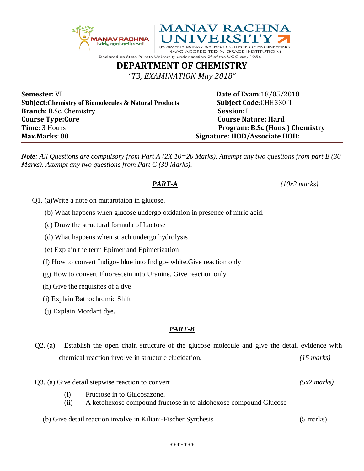



NAAC ACCREDITED 'A' GRADE INSTITUTION) Declared as State Private University under section 2f of the UGC act, 1956

## **DEPARTMENT OF CHEMISTRY**

*"T3, EXAMINATION May 2018"*

**Semester**: VI **Date of Exam**:18/05/2018 **Subject**:**Chemistry of Biomolecules & Natural Products Subject Code**:CHH330-T **Branch**: B.Sc. Chemistry **Session**: I **Course Type:Core Course Nature: Hard Time**: 3 Hours **Program: B.Sc (Hons.) Chemistry Max.Marks**: 80 **Signature: HOD/Associate HOD:**

*Note: All Questions are compulsory from Part A (2X 10=20 Marks). Attempt any two questions from part B (30 Marks). Attempt any two questions from Part C (30 Marks).* 

*PART-A (10x2 marks)*

- Q1. (a)Write a note on mutarotaion in glucose.
	- (b) What happens when glucose undergo oxidation in presence of nitric acid.
	- (c) Draw the structural formula of Lactose
	- (d) What happens when strach undergo hydrolysis
	- (e) Explain the term Epimer and Epimerization
	- (f) How to convert Indigo- blue into Indigo- white.Give reaction only
	- (g) How to convert Fluorescein into Uranine. Give reaction only
	- (h) Give the requisites of a dye
	- (i) Explain Bathochromic Shift
	- (j) Explain Mordant dye.

## *PART-B*

- Q2. (a) Establish the open chain structure of the glucose molecule and give the detail evidence with chemical reaction involve in structure elucidation. *(15 marks)*
- Q3. (a) Give detail stepwise reaction to convert *(5x2 marks)*
	- (i) Fructose in to Glucosazone.
	- (ii) A ketohexose compound fructose in to aldohexose compound Glucose
	- (b) Give detail reaction involve in Kiliani-Fischer Synthesis (5 marks)